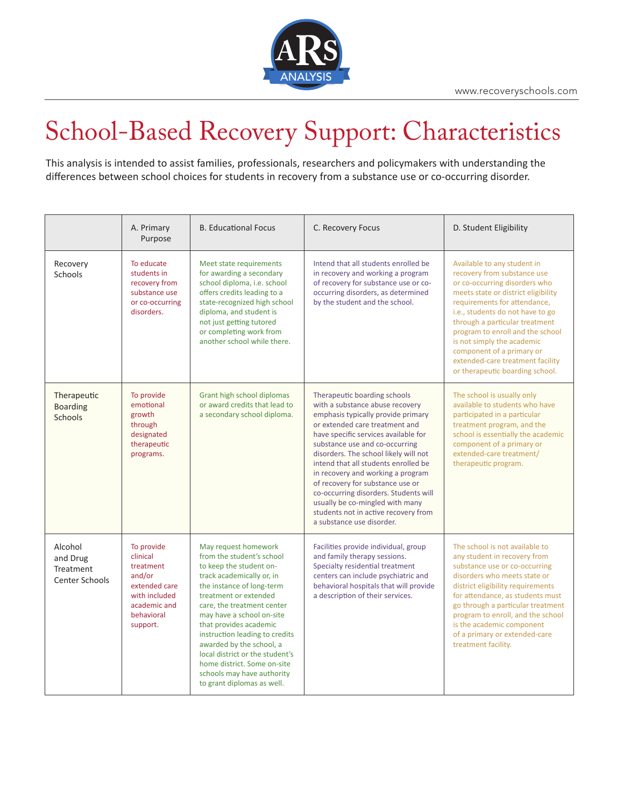

## School-Based Recovery Support: Characteristics

This analysis is intended to assist families, professionals, researchers and policymakers with understanding the differences between school choices for students in recovery from a substance use or co-occurring disorder.

|                                                           | A. Primary<br>Purpose                                                                                                     | <b>B. Educational Focus</b>                                                                                                                                                                                                                                                                                                                                                                                                                      | C. Recovery Focus                                                                                                                                                                                                                                                                                                                                                                                                                                                                                                            | D. Student Eligibility                                                                                                                                                                                                                                                                                                                                                                                         |
|-----------------------------------------------------------|---------------------------------------------------------------------------------------------------------------------------|--------------------------------------------------------------------------------------------------------------------------------------------------------------------------------------------------------------------------------------------------------------------------------------------------------------------------------------------------------------------------------------------------------------------------------------------------|------------------------------------------------------------------------------------------------------------------------------------------------------------------------------------------------------------------------------------------------------------------------------------------------------------------------------------------------------------------------------------------------------------------------------------------------------------------------------------------------------------------------------|----------------------------------------------------------------------------------------------------------------------------------------------------------------------------------------------------------------------------------------------------------------------------------------------------------------------------------------------------------------------------------------------------------------|
| Recovery<br>Schools                                       | To educate<br>students in<br>recovery from<br>substance use<br>or co-occurring<br>disorders.                              | Meet state requirements<br>for awarding a secondary<br>school diploma, i.e. school<br>offers credits leading to a<br>state-recognized high school<br>diploma, and student is<br>not just getting tutored<br>or completing work from<br>another school while there.                                                                                                                                                                               | Intend that all students enrolled be<br>in recovery and working a program<br>of recovery for substance use or co-<br>occurring disorders, as determined<br>by the student and the school.                                                                                                                                                                                                                                                                                                                                    | Available to any student in<br>recovery from substance use<br>or co-occurring disorders who<br>meets state or district eligibility<br>requirements for attendance,<br>i.e., students do not have to go<br>through a particular treatment<br>program to enroll and the school<br>is not simply the academic<br>component of a primary or<br>extended-care treatment facility<br>or therapeutic boarding school. |
| Therapeutic<br><b>Boarding</b><br><b>Schools</b>          | To provide<br>emotional<br>growth<br>through<br>designated<br>therapeutic<br>programs.                                    | Grant high school diplomas<br>or award credits that lead to<br>a secondary school diploma.                                                                                                                                                                                                                                                                                                                                                       | Therapeutic boarding schools<br>with a substance abuse recovery<br>emphasis typically provide primary<br>or extended care treatment and<br>have specific services available for<br>substance use and co-occurring<br>disorders. The school likely will not<br>intend that all students enrolled be<br>in recovery and working a program<br>of recovery for substance use or<br>co-occurring disorders. Students will<br>usually be co-mingled with many<br>students not in active recovery from<br>a substance use disorder. | The school is usually only<br>available to students who have<br>participated in a particular<br>treatment program, and the<br>school is essentially the academic<br>component of a primary or<br>extended-care treatment/<br>therapeutic program.                                                                                                                                                              |
| Alcohol<br>and Drug<br><b>Treatment</b><br>Center Schools | To provide<br>clinical<br>treatment<br>and/or<br>extended care<br>with included<br>academic and<br>behavioral<br>support. | May request homework<br>from the student's school<br>to keep the student on-<br>track academically or, in<br>the instance of long-term<br>treatment or extended<br>care, the treatment center<br>may have a school on-site<br>that provides academic<br>instruction leading to credits<br>awarded by the school, a<br>local district or the student's<br>home district. Some on-site<br>schools may have authority<br>to grant diplomas as well. | Facilities provide individual, group<br>and family therapy sessions.<br>Specialty residential treatment<br>centers can include psychiatric and<br>behavioral hospitals that will provide<br>a description of their services.                                                                                                                                                                                                                                                                                                 | The school is not available to<br>any student in recovery from<br>substance use or co-occurring<br>disorders who meets state or<br>district eligibility requirements<br>for attendance, as students must<br>go through a particular treatment<br>program to enroll, and the school<br>is the academic component<br>of a primary or extended-care<br>treatment facility.                                        |